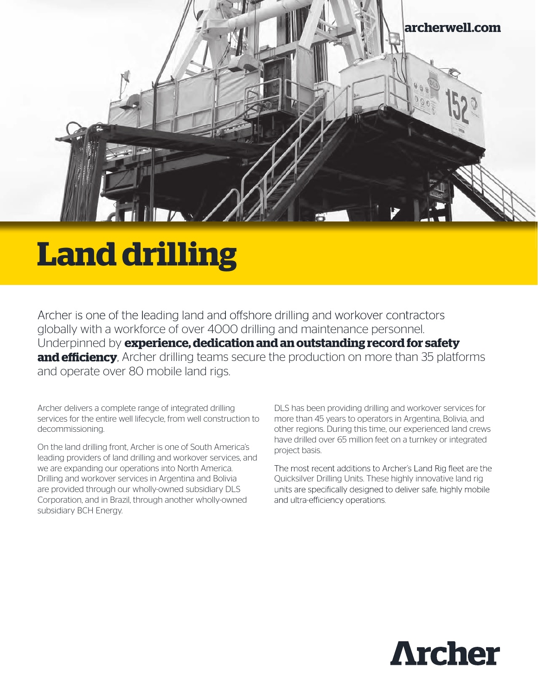

## **Land drilling**

Archer is one of the leading land and offshore drilling and workover contractors globally with a workforce of over 4000 drilling and maintenance personnel. Underpinned by **experience, dedication and an outstanding record for safety** and efficiency, Archer drilling teams secure the production on more than 35 platforms and operate over 80 mobile land rigs.

Archer delivers a complete range of integrated drilling services for the entire well lifecycle, from well construction to decommissioning.

On the land drilling front, Archer is one of South America's leading providers of land drilling and workover services, and we are expanding our operations into North America. Drilling and workover services in Argentina and Bolivia are provided through our wholly-owned subsidiary DLS Corporation, and in Brazil, through another wholly-owned subsidiary BCH Energy.

DLS has been providing drilling and workover services for more than 45 years to operators in Argentina, Bolivia, and other regions. During this time, our experienced land crews have drilled over 65 million feet on a turnkey or integrated project basis.

The most recent additions to Archer's Land Rig fleet are the Quicksilver Drilling Units. These highly innovative land rig units are specifically designed to deliver safe, highly mobile and ultra-efficiency operations.

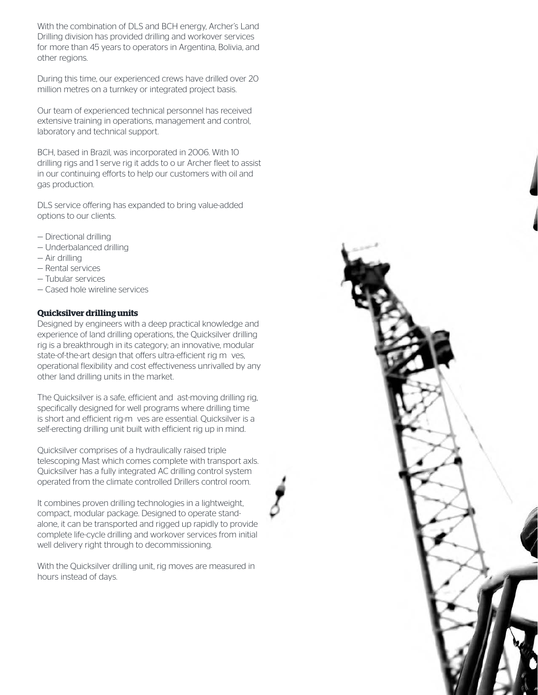With the combination of DLS and BCH energy, Archer's Land Drilling division has provided drilling and workover services for more than 45 years to operators in Argentina, Bolivia, and other regions.

During this time, our experienced crews have drilled over 20 million metres on a turnkey or integrated project basis.

Our team of experienced technical personnel has received extensive training in operations, management and control, laboratory and technical support.

BCH, based in Brazil, was incorporated in 2006. With 10 drilling rigs and 1 serve rig it adds to o ur Archer fleet to assist in our continuing efforts to help our customers with oil and gas production.

DLS service offering has expanded to bring value-added options to our clients.

- Directional drilling
- Underbalanced drilling
- Air drilling
- Rental services
- Tubular services
- Cased hole wireline services

## **Quicksilver drilling units**

Designed by engineers with a deep practical knowledge and experience of land drilling operations, the Quicksilver drilling rig is a breakthrough in its category; an innovative, modular state-of-the-art design that offers ultra-efficient rig m ves, operational flexibility and cost effectiveness unrivalled by any other land drilling units in the market.

The Quicksilver is a safe, efficient and ast-moving drilling rig, specifically designed for well programs where drilling time is short and efficient rig-m ves are essential. Quicksilver is a self-erecting drilling unit built with efficient rig up in mind.

Quicksilver comprises of a hydraulically raised triple telescoping Mast which comes complete with transport axls. Quicksilver has a fully integrated AC drilling control system operated from the climate controlled Drillers control room.

It combines proven drilling technologies in a lightweight, compact, modular package. Designed to operate standalone, it can be transported and rigged up rapidly to provide complete life-cycle drilling and workover services from initial well delivery right through to decommissioning.

With the Quicksilver drilling unit, rig moves are measured in hours instead of days.

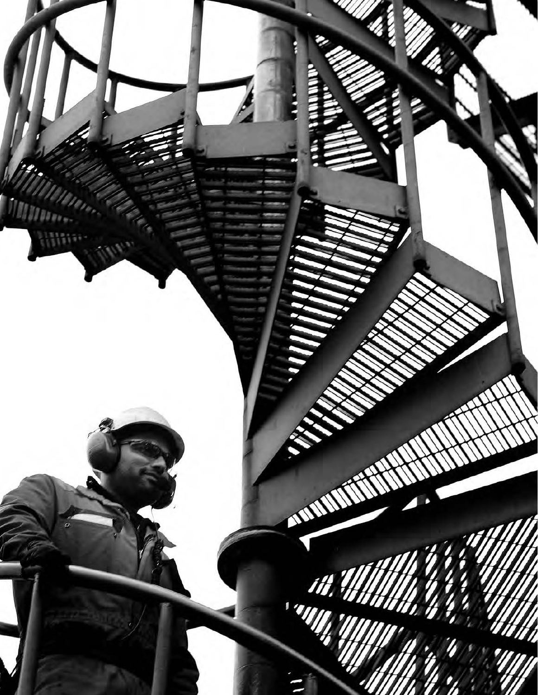